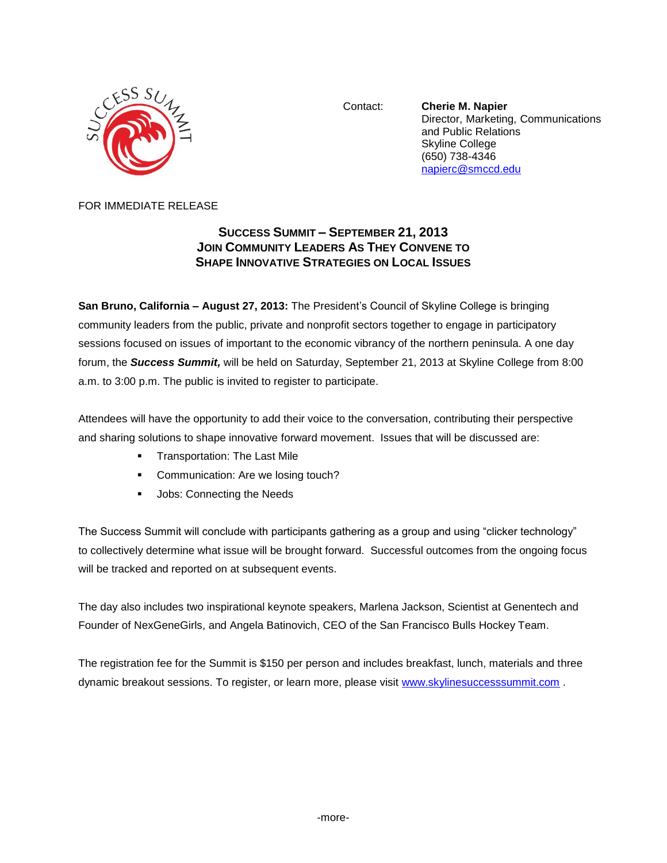

Contact: **Cherie M. Napier** Director, Marketing, Communications and Public Relations Skyline College (650) 738-4346 [napierc@smccd.edu](mailto:napierc@smccd.edu)

## FOR IMMEDIATE RELEASE

## **SUCCESS SUMMIT – SEPTEMBER 21, 2013 JOIN COMMUNITY LEADERS AS THEY CONVENE TO SHAPE INNOVATIVE STRATEGIES ON LOCAL ISSUES**

**San Bruno, California – August 27, 2013:** The President's Council of Skyline College is bringing community leaders from the public, private and nonprofit sectors together to engage in participatory sessions focused on issues of important to the economic vibrancy of the northern peninsula. A one day forum, the *Success Summit,* will be held on Saturday, September 21, 2013 at Skyline College from 8:00 a.m. to 3:00 p.m. The public is invited to register to participate.

Attendees will have the opportunity to add their voice to the conversation, contributing their perspective and sharing solutions to shape innovative forward movement. Issues that will be discussed are:

- **Transportation: The Last Mile**
- Communication: Are we losing touch?
- **Jobs: Connecting the Needs**

The Success Summit will conclude with participants gathering as a group and using "clicker technology" to collectively determine what issue will be brought forward. Successful outcomes from the ongoing focus will be tracked and reported on at subsequent events.

The day also includes two inspirational keynote speakers, Marlena Jackson, Scientist at Genentech and Founder of NexGeneGirls, and Angela Batinovich, CEO of the San Francisco Bulls Hockey Team.

The registration fee for the Summit is \$150 per person and includes breakfast, lunch, materials and three dynamic breakout sessions. To register, or learn more, please visit [www.skylinesuccesssummit.com](http://www.skylinesuccesssummit.com/) .